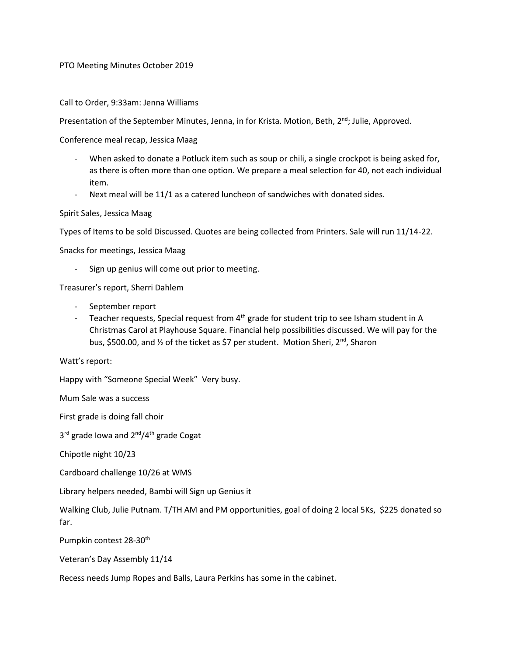## PTO Meeting Minutes October 2019

## Call to Order, 9:33am: Jenna Williams

Presentation of the September Minutes, Jenna, in for Krista. Motion, Beth, 2<sup>nd</sup>; Julie, Approved.

Conference meal recap, Jessica Maag

- When asked to donate a Potluck item such as soup or chili, a single crockpot is being asked for, as there is often more than one option. We prepare a meal selection for 40, not each individual item.
- Next meal will be 11/1 as a catered luncheon of sandwiches with donated sides.

Spirit Sales, Jessica Maag

Types of Items to be sold Discussed. Quotes are being collected from Printers. Sale will run 11/14-22.

Snacks for meetings, Jessica Maag

Sign up genius will come out prior to meeting.

Treasurer's report, Sherri Dahlem

- September report
- Teacher requests, Special request from  $4<sup>th</sup>$  grade for student trip to see Isham student in A Christmas Carol at Playhouse Square. Financial help possibilities discussed. We will pay for the bus, \$500.00, and ½ of the ticket as \$7 per student. Motion Sheri, 2<sup>nd</sup>, Sharon

Watt's report:

Happy with "Someone Special Week" Very busy.

Mum Sale was a success

First grade is doing fall choir

3<sup>rd</sup> grade Iowa and 2<sup>nd</sup>/4<sup>th</sup> grade Cogat

Chipotle night 10/23

Cardboard challenge 10/26 at WMS

Library helpers needed, Bambi will Sign up Genius it

Walking Club, Julie Putnam. T/TH AM and PM opportunities, goal of doing 2 local 5Ks, \$225 donated so far.

Pumpkin contest 28-30<sup>th</sup>

Veteran's Day Assembly 11/14

Recess needs Jump Ropes and Balls, Laura Perkins has some in the cabinet.